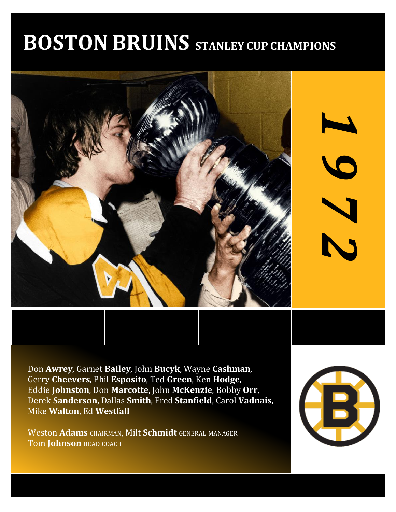# **BOSTON BRUINS STANLEY CUP CHAMPIONS**



Don **Awrey**, Garnet **Bailey**, John **Bucyk**, Wayne **Cashman**, Gerry **Cheevers**, Phil **Esposito**, Ted **Green**, Ken **Hodge**, Eddie **Johnston**, Don **Marcotte**, John **McKenzie**, Bobby **Orr**, Derek **Sanderson**, Dallas **Smith**, Fred **Stanfield**, Carol **Vadnais**, Mike **Walton**, Ed **Westfall**

Weston **Adams** CHAIRMAN, Milt **Schmidt** GENERAL MANAGER Tom **Johnson** HEAD COACH



*1*

*9*

*7*

*2*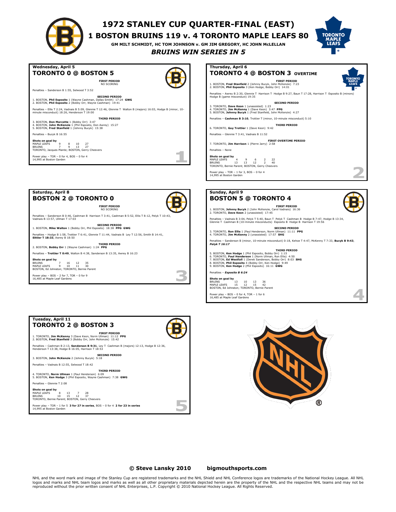

Power play – TOR – 0 for 4, BOS – 0 for 4 14,995 at Boston Garden

**BOSTON 2 @ TORONTO 0**

**SECOND PERIOD** 1. BOSTON, **Mike Walton** 1 (Bobby Orr, Phil Esposito) 18:38 **PPG GWG**

**THIRD PERIOD** 2. BOSTON, **Bobby Orr** 1 (Wayne Cashman) 1:24 **PPG** Penalties – **Trottier T 0:49**, Walton B 4:38, Sanderson B 13:35, Awrey B 16:23

**Shots on goal by**<br>BRUINS 7 16 12 35<br>MAPLE LEAFS 9 10 11 30<br>BOSTON, Ed Johnston; TORONTO, Bernie Parent  $Per$  play – BOS – 2 for 7, TOR – 0 for 9 16,485 at Maple Leaf Gardens

**Saturday, April 8**

Vadnais B 13:57, Ullman T 17:03

**Sittler T 18:33**, Awrey B 18:50

# **1972 STANLEY CUP QUARTER-FINAL (EAST)**

**1 BOSTON BRUINS 119 v. 4 TORONTO MAPLE LEAFS 80**

**GM MILT SCHMIDT, HC TOM JOHNSON v. GM JIM GREGORY, HC JOHN McLELLAN**



*BRUINS WIN SERIES IN 5*

| Wednesday, April 5<br><b>TORONTO 0 @ BOSTON 5</b>                                                                                                                                    | Thursday,<br>TORON                                  |
|--------------------------------------------------------------------------------------------------------------------------------------------------------------------------------------|-----------------------------------------------------|
| <b>FIRST PERIOD</b><br>NO SCORING                                                                                                                                                    | 1. BOSTON, Free<br>2. BOSTON, Phil                  |
| Penalties - Sanderson B 1:55, Selwood T 3:52                                                                                                                                         |                                                     |
| <b>SECOND PERIOD</b><br>1. BOSTON, Phil Esposito 1 (Wayne Cashman, Dallas Smith) 17:24 GWG<br>2. BOSTON, Phil Esposito 2 (Bobby Orr, Wayne Cashman) 19:41                            | Penalties - Awre<br>Hodge B (game)                  |
| Penalties - Ellis T 2:24, Vadnais B 5:09, Glennie T 12:46, Glennie T Walton B (majors) 16:03, Hodge B (minor, 10-<br>minute misconduct) 18:26. Henderson T 19:00                     | 3. TORONTO, Da<br>4. TORONTO, Jir<br>5. BOSTON, Joh |
| <b>THIRD PERIOD</b><br>3. BOSTON, Don Marcotte 1 (Bobby Orr) 3:47<br>4. BOSTON, John McKenzie 1 (Phil Esposito, Don Awrey) 15:27<br>5. BOSTON, Fred Stanfield 1 (Johnny Bucyk) 15:38 | Penalties - Cash<br>6. TORONTO, GL                  |
| Penalties - Bucyk B 16:55                                                                                                                                                            | Penalties - Glenr                                   |
| Shots on goal by<br>MAPI F I FAFS<br>9<br>8<br>27<br>10<br>$\overline{ }$<br>۹<br>13<br>27<br><b>BRUINS</b><br>TORONTO, Jacques Plante; BOSTON, Gerry Cheevers                       | 7. TORONTO, Jir<br>Penalties - None                 |



7. TORONTO, **Jim Harrison** 1 (Pierre Jarry) 2:58

**Shots on goal by** MAPLE LEAFS 4 9 6 2 22 BRUINS 13 13 12 2 40 TORONTO, Bernie Parent; BOSTON, Gerry Cheevers

Power play – TOR – 1 for 3, BOS – 0 for 4 14,995 at Boston Garden





5. BOSTON, **Ken Hodge 1** (Phil Esposito, Bobby Orr) 1:1**5**<br>6. TORONTO, **Paul Henderson 1** (Norm Ullman, Ron Ellis) 4:50<br>7. BOSTON, **Ed Westfall 1** (Derek Sanderson, Bobby Orr) 8:03<br>8. BOSTON, **Phil Esposito 4** (Bobby Orr,

Penalties – *Esposito B 6:24*

 $\sim$ 

**Shots on goal by**<br>BRUINS 13 10 13 36<br>MAPLE LEAFS 15 12 15 42<br>BOSTON, Ed Johnston; TORONTO, Bernie Parent

Power play – BOS – 0 for 4, TOR – 1 for 6 16,485 at Maple Leaf Gardens



**FIRST PERIOD** NO SCORING Penalties – Sanderson B 0:46, Cashman B Harrison T 3:41, Cashman B 5:52, Ellis T 8:12, Pelyk T 10:43,

Penalties – Hodge B 1:58, Trottier T 6:41, Glennie T 11:44, Vadnais B Ley T 12:56, Smith B 14:41,



### **© Steve Lansky 2010 [bigmouthsports.com](http://bigmouthsports.com/stanley-cup-playoff-summaries/)**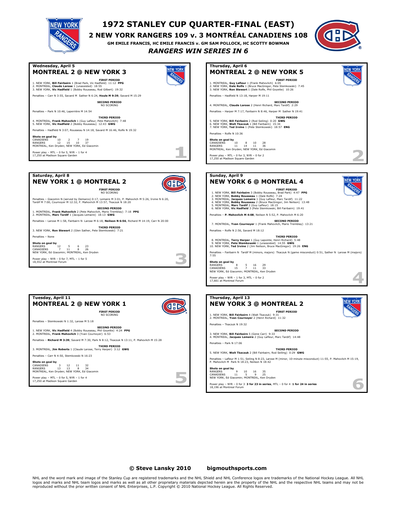

# **1972 STANLEY CUP QUARTER-FINAL (EAST)**

**2 NEW YORK RANGERS 109 v. 3 MONTRÉAL CANADIENS 108**

**GM EMILE FRANCIS, HC EMILE FRANCIS v. GM SAM POLLOCK, HC SCOTTY BOWMAN**

*RANGERS WIN SERIES IN 6*





### **© Steve Lansky 2010 [bigmouthsports.com](http://bigmouthsports.com/stanley-cup-playoff-summaries/)**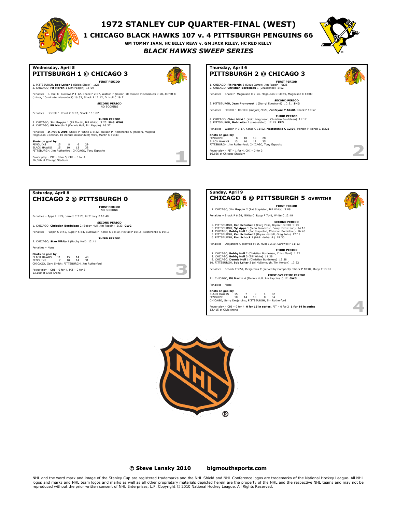

# **1972 STANLEY CUP QUARTER-FINAL (WEST)**

**1 CHICAGO BLACK HAWKS 107 v. 4 PITTSBURGH PENGUINS 66**

**GM TOMMY IVAN, HC BILLY REAY v. GM JACK RILEY, HC RED KELLY**

*BLACK HAWKS SWEEP SERIES*



z.

**Wednesday, April 5**

# **PITTSBURGH 1 @ CHICAGO 3**



1. PITTSBURGH, **Bob Leiter** 1 (Eddie Shack) 1:25 2. CHICAGO, **Pit Martin** 1 (Jim Pappin) 15:09 Penalties – B. Hull C Burrows P 1:12, Shack P 2:37, Watson P (minor, 10-minute misconduct) 9:58, Jarrett C (minor, 10-minute misconduct) 16:52, Shack P 17:12, D. Hull C 19:21

**FIRST PERIOD**

**FIRST PERIOD** NO SCORING

**SECOND PERIOD**

Penalties – Pappin C 0:41, Rupp P 5:54, Burrows P Koroll C 13:10, Hextall P 16:18, Nesterenko C 19:13

**SECOND PERIOD** NO SCORING

Penalties – Hextall P Koroll C 8:07, Shack P 18:02

**THIRD PERIOD** 3. CHICAGO, **Jim Pappin** 1 (Pit Martin, Bill White) 3:25 **SHG GWG** 4. CHICAGO, **Pit Martin** 2 (Dennis Hull, Jim Pappin) 16:37

**CHICAGO 2 @ PITTSBURGH 0**

1. CHICAGO, **Christian Bordeleau** 2 (Bobby Hull, Jim Pappin) 5:33 **GWG**

**THIRD PERIOD** 2. CHICAGO, **Stan Mikita** 1 (Bobby Hull) 12:41

Penalties – Apps P 1:24, Jarrett C 7:23, McCreary P 10:48

**Shots on goal by** BLACK HAWKS 11 15 14 40 PENGUINS 7 10 14 31 CHICAGO, Gary Smith; PITTSBURGH, Jim Rutherford Power play – CHI – 0 for 4, PIT – 0 for 3 13,100 at Civic Arena

Penalties – *D. Hull C 2:06*, Shack P White C 6:32, Watson P Nesterenko C (minors, majors) Magnuson C (minor, 10-minute misconduct) 9:09, Martin C 19:33

**Shots on goal by** PENGUINS 15 8 6 29 BLACK HAWKS 15 10 13 38 PITTSBURGH, Jim Rutherford; CHICAGO, Tony Esposito

Power play – PIT – 0 for 5, CHI – 0 for 4 16,666 at Chicago Stadium

**Saturday, April 8**

Penalties – None



**Sunday, April 9 CHICAGO 6 @ PITTSBURGH 5 OVERTIME FIRST PERIOD** 1. CHICAGO, **Jim Pappin** 2 (Pat Stapleton, Bill White) 3:08 Penalties – Shack P 6:34, Mikita C Rupp P 7:41, White C 12:49 SECOND PERIOD<br>2. PITTSBURGH, Ken Schinkel 1 (Greg Polis, Bryan Hextall) 9:13<br>3. PITTSBURGH, Syl Apps 1 (Jean Pronovost, Darryl Edestrand) 14:10<br>4. CHICAGO, Bobby Hull 1 (Pat Stapleton, Christian Bordeleau) 16:40 5. PITTSBURGH, **Ken Schinkel** 2 (Bryan Hextall, Greg Polis) 17:19 6. PITTSBURGH, **Ron Schock** 1 (Nick Harbaruk) 19:30 Penalties – Desjardins C (served by D. Hull) 10:10, Cardwell P 11:13 **THIRD PERIOD** 7. CHICAGO, **Bobby Hull** 2 (Christian Bordeleau, Chico Maki) 1:22 8. CHICAGO, **Bobby Hull** 3 (Bill White) 11:28 9. CHICAGO, **Dennis Hull** 1 (Christian Bordeleau) 15:38 10. PITTSBURGH, **Bob Leiter** 3 (Al McDonough, Tim Horton) 17:52 Penalties – Schock P 5:54, Desjardins C (served by Campbell) Shack P 10:04, Rupp P 13:01 **FIRST OVERTIME PERIOD** 11. CHICAGO, **Pit Martin** 4 (Dennis Hull, Jim Pappin) 0:12 **GWG** Penalties – None **Shots on goal by**<br>BLACK HAWKS 15 7 9 1 32<br>PENGUINS 10 14 10 0 34<br>CHICAGO, Gerry Desjardins; PITTSBURGH, Jim Rutherford Power play – CHI – 0 for 4 **0 for 15 in series**, PIT – 0 for 2 **1 for 14 in series** 12,415 at Civic Arena



ø ۰  $\sim$ 

**© Steve Lansky 2010 [bigmouthsports.com](http://bigmouthsports.com/stanley-cup-playoff-summaries/)**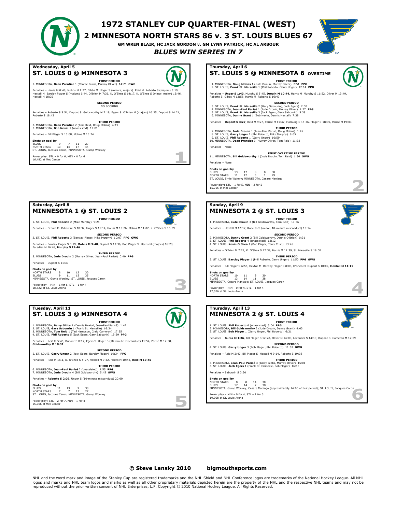# **1972 STANLEY CUP QUARTER-FINAL (WEST)**

**2 MINNESOTA NORTH STARS 86 v. 3 ST. LOUIS BLUES 67**

**GM WREN BLAIR, HC JACK GORDON v. GM LYNN PATRICK, HC AL ARBOUR**

**Thursday, April 6**

### *BLUES WIN SERIES IN 7*



#### **Wednesday, April 5 ST. LOUIS 0 @ MINNESOTA 3**



# **FIRST PERIOD** 1. MINNESOTA, **Dean Prentice** 1 (Charlie Burns, Murray Oliver) 14:25 **GWG**

Penalties – Harris M 0:49, Mohns M 1:27, Gibbs M Unger S (minors, majors) Reid M Roberto S (majors) 3:19,<br>Hextall M Barclay Plager S (majors) 6:44, O'Brien M 7:36, K. O'Shea S 14:17, K. O'Shea S (minor, major) 15:46,<br>H

**SECOND PERIOD** NO SCORING

Penalties – Roberto S 5:51, Dupont S Goldsworthy M 7:18, Egers S O'Brien M (majors) 10:25, Dupont S 14:21, Roberto S 18:43

#### **THIRD PERIOD**

2. MINNESOTA, **Dean Prentice** 2 (Tom Reid, Doug Mohns) 4:19 3. MINNESOTA, **Bob Nevin** 1 (unassisted) 12:01 Penalties – Bill Plager S 16:08, Mohns M 16:24

#### **Shots on goal by**

BLUES 9 7 11 27 NORTH STARS 13 14 17 44 ST. LOUIS, Jacques Caron; MINNESOTA, Gump Worsley

Power play: STL – 0 for 6, MIN – 0 for 6 16,482 at Met Center

**Saturday, April 8**



**Shots on goal by**<br>BLUES 13 17 8 0 38<br>NORTH STARS 11 12 5 1 29<br>ST. LOUIS, Ernie Wakely; MINNESOTA, Cesare Maniago Power play: STL – 1 for 5, MIN – 2 for 5 15,755 at Met Center



| Thursday, April 13<br><b>MINNESOTA 2 @ ST. LOUIS 4</b>                                                                                                                                                               |
|----------------------------------------------------------------------------------------------------------------------------------------------------------------------------------------------------------------------|
| <b>FIRST PERIOD</b><br>1. ST. LOUIS, Phil Roberto 6 (unassisted) 3:04 PPG<br>2. MINNESOTA, Bill Goldsworthy 2 (Jude Drouin, Danny Grant) 4:03<br>3. ST. LOUIS, Bob Plager 1 (Garry Unger, Phil Roberto) 6:21         |
| Penalties - Burns M 1:36, Bill Plager S 12:28, Oliver M 14:00, Lavander S 14:19, Dupont S Cameron M 17:09                                                                                                            |
| <b>SECOND PERIOD</b><br>4. ST. LOUIS, Garry Unger 3 (Bob Plager, Phil Roberto) 11:07 GWG                                                                                                                             |
| Penalties - Reid M 2:40, Bill Plager S Hextall M 9:14, Roberto S 19:38                                                                                                                                               |
| <b>THIRD PERIOD</b><br>5. MINNESOTA, Jean-Paul Parisé 3 (Barry Gibbs, Murray Oliver) 15:01<br>6. ST. LOUIS, Jack Egers 1 (Frank St. Marseille, Bob Plager) 16:13<br>Penalties - Sabourin S 3:30                      |
|                                                                                                                                                                                                                      |
| Shots on goal by<br>NORTH STARS<br>8<br>30<br>14<br>8<br>17<br>14<br>$\overline{7}$<br>38<br><b>BLUES</b><br>MINNESOTA, Gump Worsley, Cesare Maniago (approximately 14:00 of first period); ST. LOUIS, Jacques Caron |
| Power play - MIN - 0 for 4, STL - 1 for 3<br>19,008 at St. Louis Arena                                                                                                                                               |

# **MINNESOTA 1 @ ST. LOUIS 2**



n.

5

**FIRST PERIOD** 1. ST. LOUIS, **Phil Roberto** 2 (Mike Murphy) 9:28 Penalties – Drouin M Odrowski S 10:32, Unger S 11:14, Harris M 13:26, Mohns M 14:02, K. O'Shea S 16:39

**SECOND PERIOD** 2. ST. LOUIS, **Phil Roberto** 3 (Barclay Plager, Mike Murphy) 10:07 **PPG GWG**

Penalties – Barclay Plager S 0:19, **Mohns M 9:48**, Dupont S 13:36, Bob Plager S Harris M (majors) 16:23, Paradise M 16:48, **Murphy S 19:46**

**THIRD PERIOD** 3. MINNESOTA, **Jude Drouin** 2 (Murray Oliver, Jean-Paul Parisé) 0:40 **PPG** Penalties – Dupont S 11:30

**Shots on goal by** NORTH STARS 8 10 12 30 BLUES 9 11 15 35 MINNESOTA, Gump Worsley; ST. LOUIS, Jacques Caron

Power play – MIN – 1 for 6, STL – 1 for 4 18,822 at St. Louis Arena

### **Tuesday, April 11 ST. LOUIS 3 @ MINNESOTA 4**



Power play: STL – 2 for 7, MIN – 1 for 4 15,706 at Met Center

**© Steve Lansky 2010 [bigmouthsports.com](http://bigmouthsports.com/stanley-cup-playoff-summaries/)**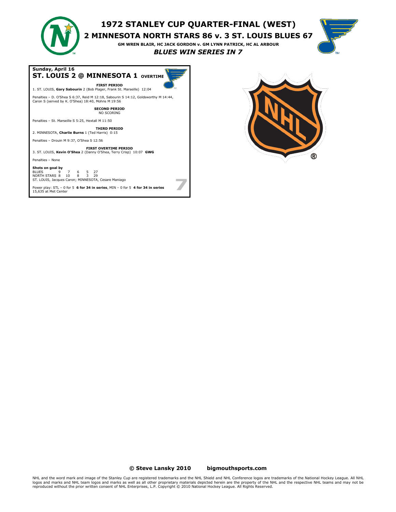

# **1972 STANLEY CUP QUARTER-FINAL (WEST)**

**2 MINNESOTA NORTH STARS 86 v. 3 ST. LOUIS BLUES 67**

**GM WREN BLAIR, HC JACK GORDON v. GM LYNN PATRICK, HC AL ARBOUR** *BLUES WIN SERIES IN 7*



**Sunday, April 16 ST. LOUIS 2 @ MINNESOTA 1 OVERTIME FIRST PERIOD** 1. ST. LOUIS, **Gary Sabourin** 2 (Bob Plager, Frank St. Marseille) 12:04 Penalties – D. O'Shea S 6:37, Reid M 12:18, Sabourin S 14:12, Goldsworthy M 14:44, Caron S (served by K. O'Shea) 18:40, Mohns M 19:56 **SECOND PERIOD** NO SCORING Penalties – St. Marseille S 5:25, Hextall M 11:50 **THIRD PERIOD**

2. MINNESOTA, **Charlie Burns** 1 (Ted Harris) 0:15

Penalties – Drouin M 9:37, O'Shea S 12:56

**FIRST OVERTIME PERIOD** 3. ST. LOUIS, **Kevin O'Shea** 2 (Danny O'Shea, Terry Crisp) 10:07 **GWG**

# Penalties – None

**Shots on goal by** BLUES 9 7 6 5 27 NORTH STARS 8 10 8 3 29 ST. LOUIS, Jacques Caron; MINNESOTA, Cesare Maniago

Power play: STL – 0 for 5 **6 for 34 in series**, MIN – 0 for 5 **4 for 34 in series** 15,635 at Met Center



### **© Steve Lansky 2010 [bigmouthsports.com](http://bigmouthsports.com/stanley-cup-playoff-summaries/)**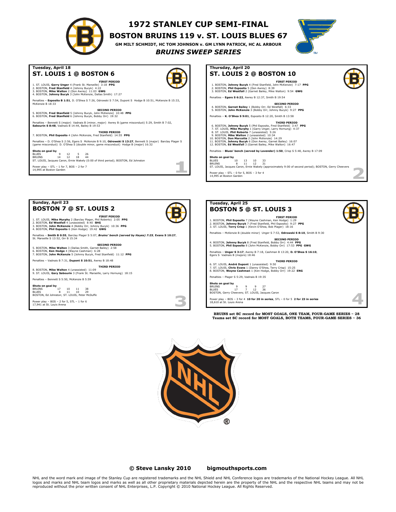

# **1972 STANLEY CUP SEMI-FINAL**

**BOSTON BRUINS 119 v. ST. LOUIS BLUES 67**

**GM MILT SCHMIDT, HC TOM JOHNSON v. GM LYNN PATRICK, HC AL ARBOUR**

**Thursday, April 20**

**ST. LOUIS 2 @ BOSTON 10**

*BRUINS SWEEP SERIES*



### **Tuesday, April 18 ST. LOUIS 1 @ BOSTON 6**



1. ST. LOUIS**, Garry Unger** 4 (Frank St. Marseille) 3:18 **PPG**<br>2. BOSTON**, Fred Stanfield** 4 (Johnny Bucyk) 4:22<br>3. BOSTON**, Mike Walton** 2 (Don Awrey) 1:1:03 **GWG**<br>4. BOSTON**, Johnny Bucyk** 3 (John McKenzie, Dallas Smith)

Penalties – **Esposito B 1:51**, D. O'Shea S 7:26, Odrowski S 7:54, Dupont S Hodge B 10:51, McKenzie B 15:33,<br>McKenzie B 18:33

**SECOND PERIOD** 5. BOSTON, **Fred Stanfield** 5 (Johnny Bucyk, John McKenzie) 10:48 **PPG** 6. BOSTON, **Fred Stanfield** 6 (Johnny Bucyk, Bobby Orr) 19:32

Penalties – Bennett S (major) Vadnais B (minor, major) Awrey B (game misconduct) 5:29, Smith B 7:02, **Sabourin S 8:48**, Vadnais B 14:44, Bailey B 19:53

**THIRD PERIOD** 7. BOSTON, **Phil Esposito** 4 (John McKenzie, Fred Stanfield) 14:55 **PPG**

Penalties – D. O'Shea S 2:56, Egers S McKenzie B 9:10, **Odrowski S 13:27**, Bennett S (major) Barclay Plager S<br>(game misconduct) D. O'Shea S (double minor, game misconduct) Hodge B (major) 16:32

**Shots on goal by**<br>BLUES 9 14 12 12 5 26<br>BRUINS 16cques Caron, Ernie Wakely (0:00 of third period); BOSTON, Ed Johnston<br>ST. LOUIS, Jacques Caron, Ernie Wakely (0:00 of third period); BOSTON, Ed Johnston

Power play – STL – 1 for 7, BOS – 2 for 7 14,995 at Boston Garden

**FIRST PERIOD** 1. BOSTON, **Johnny Bucyk** 4 (Fred Stanfield, John McKenzie) 7:17 **PPG** 2. BOSTON, **Phil Esposito** 5 (Don Awrey) 8:39 3. BOSTON, **Ed Westfall** 2 (Garnet Bailey, Mike Walton) 9:54 **GWG** Penalties – **Egers S 6:22**, Awrey B 12:37, Smith B 19:54 **SECOND PERIOD** 4. BOSTON, **Garnet Bailey** 1 (Bobby Orr, Ed Westfall) 6:33 5. BOSTON, **John McKenzie** 3 (Bobby Orr, Johnny Bucyk) 9:27 **PPG** Penalties – **K. O'Shea S 9:01**, Esposito B 12:20, Smith B 13:58 6. BOSTON, Johnny Bucyk 5 (Phil Esposito, Frel Stanfield) 3:47 PPG<br>7. ST. LOUIS, Mike Murphy 1 (Garry Unger, Lary Hornung) 4:37<br>8. ST. LOUIS, Phil Roberto 7 (unassisted) 5:26<br>9. BOSTON, Mike Walton 2 (unassisted) 10:34<br>10. Penalties – **Blues' bench (served by Lavender) 1:50**, Crisp S 5:48, Awrey B 17:09 **Shots on goal by** BLUES 10 13 10 33 BRUINS 8 11 12 31 ST. LOUIS, Jacques Caron, Ernie Wakely (approximately 9:00 of second period); BOSTON, Gerry Cheevers Power play – STL – 0 for 5, BOS – 3 for 4 14,995 at Boston Garden z.





**© Steve Lansky 2010 [bigmouthsports.com](http://bigmouthsports.com/stanley-cup-playoff-summaries/)**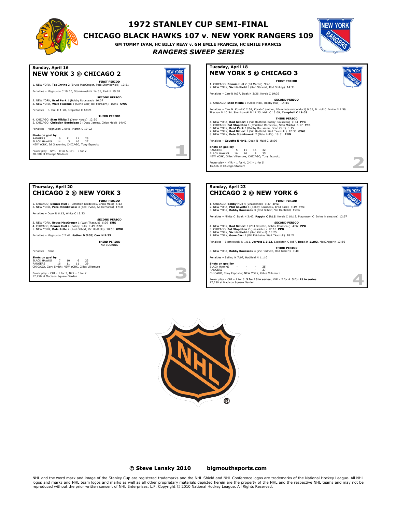

# **1972 STANLEY CUP SEMI-FINAL**

# **CHICAGO BLACK HAWKS 107 v. NEW YORK RANGERS 109**

**GM TOMMY IVAN, HC BILLY REAY v. GM EMILE FRANCIS, HC EMILE FRANCIS**

# *RANGERS SWEEP SERIES*





Power play – CHI – 1 for 3, NYR – 0 for 2 17,250 at Madison Square Garden

BLACK HAWKS - - - 25 RANGERS - - - 37 CHICAGO, Tony Esposito; NEW YORK, Gilles Villemure Power play – CHI – 1 for 5 **3 for 15 in series**, NYR – 2 for 4 **3 for 15 in series** 17,250 at Madison Square Garden



P

### **© Steve Lansky 2010 [bigmouthsports.com](http://bigmouthsports.com/stanley-cup-playoff-summaries/)**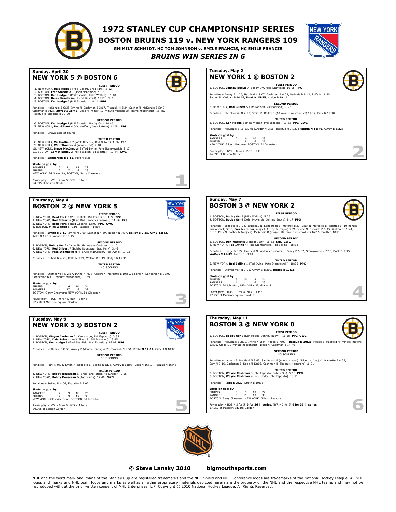

**NEW YORK 5 @ BOSTON 6**

1. NEW YORK, Dale Rolfe 3 (Rod Gilbert, Brad Park) 3:52<br>2. BOSTON, Fred Stanfield 7 (John McKenzie) 5:07<br>3. BOSTON, Ken Hodge 5 (Phil Esposito, Mike Walton) 15:48<br>4. BOSTON, Derek Sanderson 1 (Ed Westfall) 17:29<br>5. BOSTON,

6. BOSTON, **Ken Hodge** 7 (Phil Esposito, Bobby Orr) 10:46 7. NEW YORK, **Rod Gilbert** 4 (Vic Hadfield, Jean Ratelle) 11:54 **PPG**

8. NEW YORK, **Vic Hadfield** 7 (Walt Tkaczuk, Rod Gilbert) 1:56 PPG<br>9. NEW YORK, **Walt Tkaczuk** 4 (unassisted) 7:48<br>10. NEW YORK, **Bruce MacGregor** 2 (Ted Irvine, Pete Stemkowski) 9:17<br>11. BOSTON**, Garnet Bailey** 2 (Mike Wa

**Sunday, April 30**

Penalties – Unavailable at source

Penalties – **Sanderson B 1:12**, Park N 3:38 **Shots on goal by** RANGERS 7 11 11 29 BRUINS 12 7 9 28 NEW YORK, Ed Giacomin; BOSTON, Gerry Cheevers

Power play – NYR – 2 for 5, BOS – 0 for 3 14,995 at Boston Garden

# **1972 STANLEY CUP CHAMPIONSHIP SERIES**

**BOSTON BRUINS 119 v. NEW YORK RANGERS 109**

**GM MILT SCHMIDT, HC TOM JOHNSON v. EMILE FRANCIS, HC EMILE FRANCIS** *BRUINS WIN SERIES IN 6*



ø









### **© Steve Lansky 2010 [bigmouthsports.com](http://bigmouthsports.com/stanley-cup-playoff-summaries/)**

NHL and the word mark and image of the Stanley Cup are registered trademarks and the NHL Shield and NHL Conference logos are trademarks of the National Hockey League. All NHL logos and marks and NHL team logos and marks as well as all other proprietary materials depicted herein are the property of the NHL and the respective NHL teams and may not be<br>reproduced without the prior written consent o

### **Thursday, May 4 BOSTON 2 @ NEW YORK 5**

**FIRST PERIOD** 1. NEW YORK, **Brad Park** 3 (Vic Hadfield, Bill Fairbairn) 1:22 **PPG** 2. NEW YORK, **Rod Gilbert** 6 (Brad Park, Bobby Rousseau) 11:19 **PPG** 3. NEW YORK, **Brad Park** 4 (Rod Gilbert) 13:00 **PPG GWG** 4. BOSTON, **Mike Walton** 6 (Carol Vadnais) 14:04

Penalties – **Smith B 0:12**, Irvine N 2:09, Sather N 4:39, Neilson N 7:17, **Bailey B 9:35**, **Orr B 12:43**, Rolfe N 15:10, Vadnais B 18:15

**SECOND PERIOD** 5. BOSTON, Bobby Orr 2 (Dallas Smith, Wayne Cashman) 1:10<br>6. NEW YORK, Rod Gilbert 7 (Bobby Rousseau, Brad Park) 3:46<br>7. NEW YORK, Pete Stemkowski 4 (Bruce MacGregor, Ted Irvine) 19:23

Penalties – Gilbert N 4:28, Rolfe N 9:24, Walton B 9:49, Hodge B 17:35 **THIRD PERIOD**

NO SCORING

**SECOND PERIOD**

**THIRD PERIOD**

Penalties – Stemkowski N 2:17, Irvine N 7:38, Gilbert N Marcotte B 10:50, Seiling N Sanderson B 12:00, Sanderson B (10-minute misconduct) 19:59

**Shots on goal by** BRUINS 14 6 14 34 RANGERS 14 17 8 39 BOSTON, Gerry Cheevers; NEW YORK, Ed Giacomin

Power play – BOS – 0 for 8, NYR – 3 for 6 17,250 at Madison Square Garden

## **Tuesday, May 9 NEW YORK 3 @ BOSTON 2**

**FIRST PERIOD**<br>2. NEW YORK, **Dale Rolfe 4** (Walt Tkaczuk, Bill Faposito) 3:55<br>2. NEW YORK, **Dale Rolfe** 4 (Walt Tkaczuk, Bill Fairbairn) 13:45<br>3. BOSTON, **Ken Hodge** 9 (Fred Stanfield, Phil Esposito) 16:07 PPG

Penalties – McKenzie B 0:50, Awrey B (double minor) 4:29, Tkaczuk N 9:51, **Rolfe N 14:14**, Gilbert N 18:00

**SECOND PERIOD** NO SCORING

Penalties – Park N 0:24, Smith N Esposito B Seiling N 6:36, Awrey B 13:08, Doak N 16:17, Tkaczuk N 16:48

**THIRD PERIOD** 4. NEW YORK, **Bobby Rousseau** 5 (Brad Park, Bruce MacGregor) 2:56 5. NEW YORK, **Bobby Rousseau** 6 (Ted Irvine) 12:45 **GWG**

Penalties – Seiling N 4:07, Esposito B 5:07

**Shots on goal by** RANGERS 7 9 10 26 BRUINS 12 9 17 38 NEW YORK, Gilles Villemure; BOSTON, Ed Johnston

Power play – NYR – 0 for 5, BOS – 1 for 8 14,995 at Boston Garde



П Ĵ.